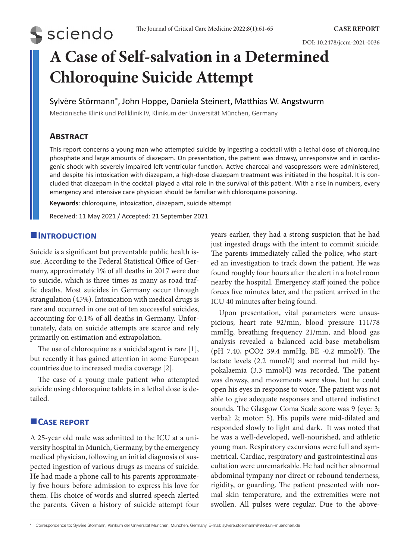# **S** sciendo

DOI: 10.2478/jccm-2021-0036

## **A Case of Self-salvation in a Determined Chloroquine Suicide Attempt**

#### Sylvère Störmann\*, John Hoppe, Daniela Steinert, Matthias W. Angstwurm

Medizinische Klinik und Poliklinik IV, Klinikum der Universität München, Germany

## **Abstract**

This report concerns a young man who attempted suicide by ingesting a cocktail with a lethal dose of chloroquine phosphate and large amounts of diazepam. On presentation, the patient was drowsy, unresponsive and in cardiogenic shock with severely impaired left ventricular function. Active charcoal and vasopressors were administered, and despite his intoxication with diazepam, a high-dose diazepam treatment was initiated in the hospital. It is concluded that diazepam in the cocktail played a vital role in the survival of this patient. With a rise in numbers, every emergency and intensive care physician should be familiar with chloroquine poisoning.

**Keywords**: chloroquine, intoxication, diazepam, suicide attempt

Received: 11 May 2021 / Accepted: 21 September 2021

#### **Introduction**

Suicide is a significant but preventable public health issue. According to the Federal Statistical Office of Germany, approximately 1% of all deaths in 2017 were due to suicide, which is three times as many as road traffic deaths. Most suicides in Germany occur through strangulation (45%). Intoxication with medical drugs is rare and occurred in one out of ten successful suicides, accounting for 0.1% of all deaths in Germany. Unfortunately, data on suicide attempts are scarce and rely primarily on estimation and extrapolation.

The use of chloroquine as a suicidal agent is rare [1], but recently it has gained attention in some European countries due to increased media coverage [2].

The case of a young male patient who attempted suicide using chloroquine tablets in a lethal dose is detailed.

### **Case report**

A 25-year old male was admitted to the ICU at a university hospital in Munich, Germany, by the emergency medical physician, following an initial diagnosis of suspected ingestion of various drugs as means of suicide. He had made a phone call to his parents approximately five hours before admission to express his love for them. His choice of words and slurred speech alerted the parents. Given a history of suicide attempt four years earlier, they had a strong suspicion that he had just ingested drugs with the intent to commit suicide. The parents immediately called the police, who started an investigation to track down the patient. He was found roughly four hours after the alert in a hotel room nearby the hospital. Emergency staff joined the police forces five minutes later, and the patient arrived in the ICU 40 minutes after being found.

Upon presentation, vital parameters were unsuspicious; heart rate 92/min, blood pressure 111/78 mmHg, breathing frequency 21/min, and blood gas analysis revealed a balanced acid-base metabolism (pH 7.40, pCO2 39.4 mmHg, BE -0.2 mmol/l). The lactate levels (2.2 mmol/l) and normal but mild hypokalaemia (3.3 mmol/l) was recorded. The patient was drowsy, and movements were slow, but he could open his eyes in response to voice. The patient was not able to give adequate responses and uttered indistinct sounds. The Glasgow Coma Scale score was 9 (eye: 3; verbal: 2; motor: 5). His pupils were mid-dilated and responded slowly to light and dark. It was noted that he was a well-developed, well-nourished, and athletic young man. Respiratory excursions were full and symmetrical. Cardiac, respiratory and gastrointestinal auscultation were unremarkable. He had neither abnormal abdominal tympany nor direct or rebound tenderness, rigidity, or guarding. The patient presented with normal skin temperature, and the extremities were not swollen. All pulses were regular. Due to the above-

<sup>\*</sup> Correspondence to: Sylvère Störmann, Klinikum der Universität München, München, Germany. E-mail: sylvere.stoermann@med.uni-muenchen.de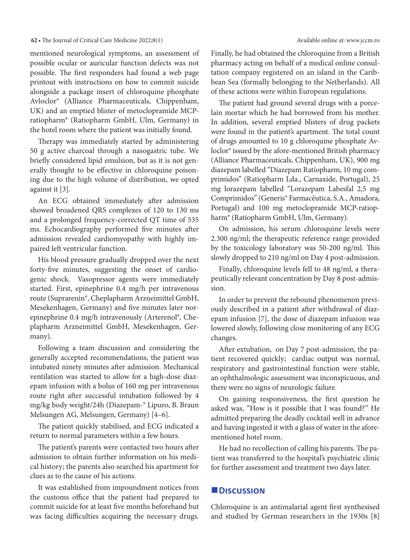#### **62 •** The Journal of Critical Care Medicine 2022;8(1) Available online at: www.jccm.ro

mentioned neurological symptoms, an assessment of possible ocular or auricular function defects was not possible. The first responders had found a web page printout with instructions on how to commit suicide alongside a package insert of chloroquine phosphate Avloclor® (Alliance Pharmaceuticals, Chippenham, UK) and an emptied blister of metoclopramide MCPratiopharm® (Ratiopharm GmbH, Ulm, Germany) in the hotel room where the patient was initially found.

Therapy was immediately started by administering 50 g active charcoal through a nasogastric tube. We briefly considered lipid emulsion, but as it is not generally thought to be effective in chloroquine poisoning due to the high volume of distribution, we opted against it [3].

An ECG obtained immediately after admission showed broadened QRS complexes of 120 to 130 ms and a prolonged frequency-corrected QT time of 535 ms. Echocardiography performed five minutes after admission revealed cardiomyopathy with highly impaired left ventricular function.

His blood pressure gradually dropped over the next forty-five minutes, suggesting the onset of cardiogenic shock. Vasopressor agents were immediately started. First, epinephrine 0.4 mg/h per intravenous route (Suprarenin®, Cheplapharm Arzneimittel GmbH, Mesekenhagen, Germany) and five minutes later norepinephrine 0.4 mg/h intravenously (Arterenol®, Cheplapharm Arzneimittel GmbH, Mesekenhagen, Germany).

Following a team discussion and considering the generally accepted recommendations, the patient was intubated ninety minutes after admission. Mechanical ventilation was started to allow for a high-dose diazepam infusion with a bolus of 160 mg per intravenous route right after successful intubation followed by 4 mg/kg body weight/24h (Diazepam-® Lipuro, B. Braun Melsungen AG, Melsungen, Germany) [4–6].

The patient quickly stabilised, and ECG indicated a return to normal parameters within a few hours.

The patient's parents were contacted two hours after admission to obtain further information on his medical history; the parents also searched his apartment for clues as to the cause of his actions.

It was established from impoundment notices from the customs office that the patient had prepared to commit suicide for at least five months beforehand but was facing difficulties acquiring the necessary drugs. Finally, he had obtained the chloroquine from a British pharmacy acting on behalf of a medical online consultation company registered on an island in the Caribbean Sea (formally belonging to the Netherlands). All of these actions were within European regulations.

The patient had ground several drugs with a porcelain mortar which he had borrowed from his mother. In addition, several emptied blisters of drug packets were found in the patient's apartment. The total count of drugs amounted to 10 g chloroquine phosphate Avloclor® issued by the afore-mentioned British pharmacy (Alliance Pharmaceuticals, Chippenham, UK), 900 mg diazepam labelled "Diazepam Ratiopharm, 10 mg comprimidos" (Ratiopharm Lda., Carnaxide, Portugal), 25 mg lorazepam labelled "Lorazepam Labesfal 2,5 mg Comprimidos" (Generis® Farmacêutica, S.A., Amadora, Portugal) and 100 mg metoclopramide MCP-ratiopharm® (Ratiopharm GmbH, Ulm, Germany).

On admission, his serum chloroquine levels were 2.300 ng/ml; the therapeutic reference range provided by the toxicology laboratory was 50-200 ng/ml. This slowly dropped to 210 ng/ml on Day 4 post-admission.

Finally, chloroquine levels fell to 48 ng/ml, a therapeutically relevant concentration by Day 8 post-admission.

In order to prevent the rebound phenomenon previously described in a patient after withdrawal of diazepam infusion [7], the dose of diazepam infusion was lowered slowly, following close monitoring of any ECG changes.

After extubation, on Day 7 post-admission, the patient recovered quickly; cardiac output was normal, respiratory and gastrointestinal function were stable, an ophthalmologic assessment was inconspicuous, and there were no signs of neurologic failure.

On gaining responsiveness, the first question he asked was, "How is it possible that I was found?" He admitted preparing the deadly cocktail well in advance and having ingested it with a glass of water in the aforementioned hotel room.

He had no recollection of calling his parents. The patient was transferred to the hospital's psychiatric clinic for further assessment and treatment two days later.

#### **Discussion**

Chloroquine is an antimalarial agent first synthesised and studied by German researchers in the 1930s [8]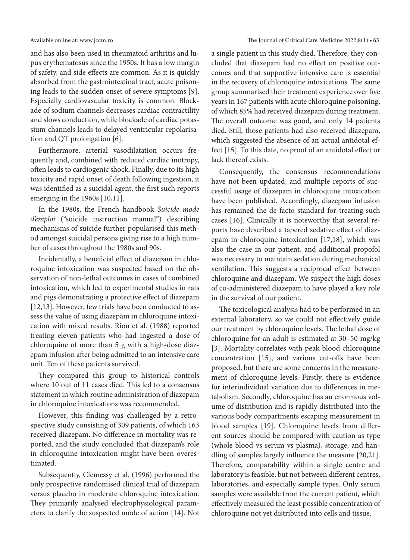and has also been used in rheumatoid arthritis and lupus erythematosus since the 1950s. It has a low margin of safety, and side effects are common. As it is quickly absorbed from the gastrointestinal tract, acute poisoning leads to the sudden onset of severe symptoms [9]. Especially cardiovascular toxicity is common. Blockade of sodium channels decreases cardiac contractility and slows conduction, while blockade of cardiac potassium channels leads to delayed ventricular repolarisation and QT prolongation [6].

Furthermore, arterial vasodilatation occurs frequently and, combined with reduced cardiac inotropy, often leads to cardiogenic shock. Finally, due to its high toxicity and rapid onset of death following ingestion, it was identified as a suicidal agent, the first such reports emerging in the 1960s [10,11].

In the 1980s, the French handbook *Suicide mode d'emploi* ("suicide instruction manual") describing mechanisms of suicide further popularised this method amongst suicidal persons giving rise to a high number of cases throughout the 1980s and 90s.

Incidentally, a beneficial effect of diazepam in chloroquine intoxication was suspected based on the observation of non-lethal outcomes in cases of combined intoxication, which led to experimental studies in rats and pigs demonstrating a protective effect of diazepam [12,13]. However, few trials have been conducted to assess the value of using diazepam in chloroquine intoxication with mixed results. Riou et al. (1988) reported treating eleven patients who had ingested a dose of chloroquine of more than 5 g with a high-dose diazepam infusion after being admitted to an intensive care unit. Ten of these patients survived.

They compared this group to historical controls where 10 out of 11 cases died. This led to a consensus statement in which routine administration of diazepam in chloroquine intoxications was recommended.

However, this finding was challenged by a retrospective study consisting of 309 patients, of which 163 received diazepam. No difference in mortality was reported, and the study concluded that diazepam's role in chloroquine intoxication might have been overestimated.

Subsequently, Clemessy et al. (1996) performed the only prospective randomised clinical trial of diazepam versus placebo in moderate chloroquine intoxication. They primarily analysed electrophysiological parameters to clarify the suspected mode of action [14]. Not

a single patient in this study died. Therefore, they concluded that diazepam had no effect on positive outcomes and that supportive intensive care is essential in the recovery of chloroquine intoxications. The same group summarised their treatment experience over five years in 167 patients with acute chloroquine poisoning, of which 85% had received diazepam during treatment. The overall outcome was good, and only 14 patients died. Still, those patients had also received diazepam, which suggested the absence of an actual antidotal effect [15]. To this date, no proof of an antidotal effect or lack thereof exists.

Consequently, the consensus recommendations have not been updated, and multiple reports of successful usage of diazepam in chloroquine intoxication have been published. Accordingly, diazepam infusion has remained the de facto standard for treating such cases [16]. Clinically it is noteworthy that several reports have described a tapered sedative effect of diazepam in chloroquine intoxication [17,18], which was also the case in our patient, and additional propofol was necessary to maintain sedation during mechanical ventilation. This suggests a reciprocal effect between chloroquine and diazepam. We suspect the high doses of co-administered diazepam to have played a key role in the survival of our patient.

The toxicological analysis had to be performed in an external laboratory, so we could not effectively guide our treatment by chloroquine levels. The lethal dose of chloroquine for an adult is estimated at 30–50 mg/kg [3]. Mortality correlates with peak blood chloroquine concentration [15], and various cut-offs have been proposed, but there are some concerns in the measurement of chloroquine levels. Firstly, there is evidence for interindividual variation due to differences in metabolism. Secondly, chloroquine has an enormous volume of distribution and is rapidly distributed into the various body compartments escaping measurement in blood samples [19]. Chloroquine levels from different sources should be compared with caution as type (whole blood vs serum vs plasma), storage, and handling of samples largely influence the measure [20,21]. Therefore, comparability within a single centre and laboratory is feasible, but not between different centres, laboratories, and especially sample types. Only serum samples were available from the current patient, which effectively measured the least possible concentration of chloroquine not yet distributed into cells and tissue.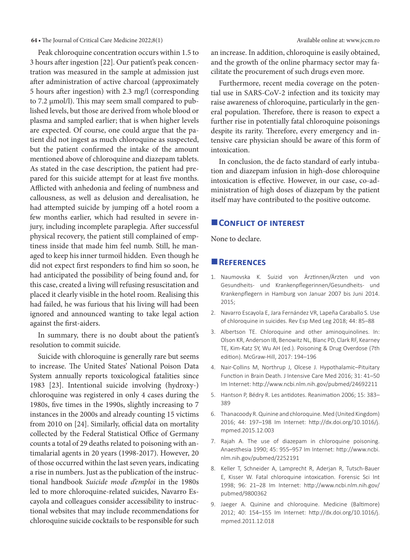#### **64 •** The Journal of Critical Care Medicine 2022;8(1) Available online at: www.jccm.ro

Peak chloroquine concentration occurs within 1.5 to 3 hours after ingestion [22]. Our patient's peak concentration was measured in the sample at admission just after administration of active charcoal (approximately 5 hours after ingestion) with 2.3 mg/l (corresponding to 7.2 µmol/l). This may seem small compared to published levels, but those are derived from whole blood or plasma and sampled earlier; that is when higher levels are expected. Of course, one could argue that the patient did not ingest as much chloroquine as suspected, but the patient confirmed the intake of the amount mentioned above of chloroquine and diazepam tablets. As stated in the case description, the patient had prepared for this suicide attempt for at least five months. Afflicted with anhedonia and feeling of numbness and callousness, as well as delusion and derealisation, he had attempted suicide by jumping off a hotel room a few months earlier, which had resulted in severe injury, including incomplete paraplegia. After successful physical recovery, the patient still complained of emptiness inside that made him feel numb. Still, he managed to keep his inner turmoil hidden. Even though he did not expect first responders to find him so soon, he had anticipated the possibility of being found and, for this case, created a living will refusing resuscitation and placed it clearly visible in the hotel room. Realising this had failed, he was furious that his living will had been ignored and announced wanting to take legal action against the first-aiders.

In summary, there is no doubt about the patient's resolution to commit suicide.

Suicide with chloroquine is generally rare but seems to increase. The United States' National Poison Data System annually reports toxicological fatalities since 1983 [23]. Intentional suicide involving (hydroxy-) chloroquine was registered in only 4 cases during the 1980s, five times in the 1990s, slightly increasing to 7 instances in the 2000s and already counting 15 victims from 2010 on [24]. Similarly, official data on mortality collected by the Federal Statistical Office of Germany counts a total of 29 deaths related to poisoning with antimalarial agents in 20 years (1998-2017). However, 20 of those occurred within the last seven years, indicating a rise in numbers. Just as the publication of the instructional handbook *Suicide mode d'emploi* in the 1980s led to more chloroquine-related suicides, Navarro Escayola and colleagues consider accessibility to instructional websites that may include recommendations for chloroquine suicide cocktails to be responsible for such

an increase. In addition, chloroquine is easily obtained, and the growth of the online pharmacy sector may facilitate the procurement of such drugs even more.

Furthermore, recent media coverage on the potential use in SARS-CoV-2 infection and its toxicity may raise awareness of chloroquine, particularly in the general population. Therefore, there is reason to expect a further rise in potentially fatal chloroquine poisonings despite its rarity. Therefore, every emergency and intensive care physician should be aware of this form of intoxication.

In conclusion, the de facto standard of early intubation and diazepam infusion in high-dose chloroquine intoxication is effective. However, in our case, co-administration of high doses of diazepam by the patient itself may have contributed to the positive outcome.

#### **CONFLICT OF INTEREST**

None to declare.

#### **References**

- 1. Naumovska K. Suizid von Ärztinnen/Ärzten und von Gesundheits- und Krankenpflegerinnen/Gesundheits- und Krankenpflegern in Hamburg von Januar 2007 bis Juni 2014. 2015;
- 2. Navarro Escayola E, Jara Fernández VR, Lapeña Caraballo S. Use of chloroquine in suicides. Rev Esp Med Leg 2018; 44: 85–88
- 3. Albertson TE. Chloroquine and other aminoquinolines. In: Olson KR, Anderson IB, Benowitz NL, Blanc PD, Clark RF, Kearney TE, Kim-Katz SY, Wu AH (ed.). Poisoning & Drug Overdose (7th edition). McGraw-Hill, 2017: 194–196
- 4. Nair-Collins M, Northrup J, Olcese J. Hypothalamic-Pituitary Function in Brain Death. J Intensive Care Med 2016; 31: 41–50 Im Internet: http://www.ncbi.nlm.nih.gov/pubmed/24692211
- 5. Hantson P, Bédry R. Les antidotes. Reanimation 2006; 15: 383-389
- 6. Thanacoody R.Quinine and chloroquine.Med (United Kingdom) 2016; 44: 197–198 Im Internet: http://dx.doi.org/10.1016/j. mpmed.2015.12.003
- 7. Rajah A. The use of diazepam in chloroquine poisoning. Anaesthesia 1990; 45: 955–957 Im Internet: http://www.ncbi. nlm.nih.gov/pubmed/2252191
- 8. Keller T, Schneider A, Lamprecht R, Aderjan R, Tutsch-Bauer E, Kisser W. Fatal chloroquine intoxication. Forensic Sci Int 1998; 96: 21–28 Im Internet: http://www.ncbi.nlm.nih.gov/ pubmed/9800362
- 9. Jaeger A. Quinine and chloroquine. Medicine (Baltimore) 2012; 40: 154–155 Im Internet: http://dx.doi.org/10.1016/j. mpmed.2011.12.018